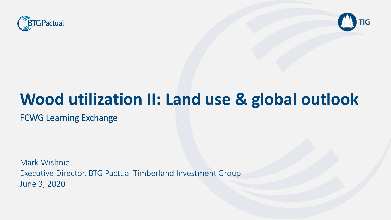



# **Wood utilization II: Land use & global outlook**

FCWG Learning Exchange

Mark Wishnie Executive Director, BTG Pactual Timberland Investment Group June 3, 2020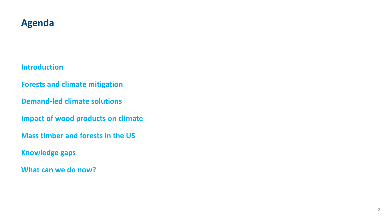#### **Agenda**

**Introduction**

**Forests and climate mitigation**

**Demand-led climate solutions**

**Impact of wood products on climate**

**Mass timber and forests in the US**

**Knowledge gaps**

**What can we do now?**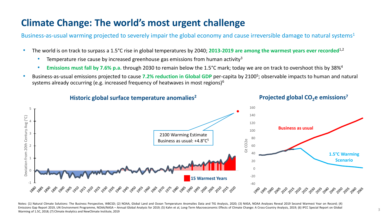### **Climate Change: The world's most urgent challenge**

Business-as-usual warming projected to severely impair the global economy and cause irreversible damage to natural systems<sup>1</sup>

- The world is on track to surpass a 1.5°C rise in global temperatures by 2040; **2013-2019 are among the warmest years ever recorded**1,2
	- Temperature rise cause by increased greenhouse gas emissions from human activity<sup>3</sup>
	- **Emissions must fall by 7.6% p.a.** through 2030 to remain below the 1.5°C mark; today we are on track to overshoot this by 38%<sup>4</sup>
- Business-as-usual emissions projected to cause 7.2% reduction in Global GDP per-capita by 2100<sup>5</sup>; observable impacts to human and natural systems already occurring (e.g. increased frequency of heatwaves in most regions)<sup>6</sup>



**Historic global surface temperature anomalies<sup>2</sup>**

**Projected global CO2e emissions<sup>7</sup>**

Notes: (1) Natural Climate Solutions: The Business Perspective, WBCSD; (2) NOAA, Global Land and Ocean Temperature Anomalies Data and TIG Analysis, 2020; (3) NASA, NOAA Analyses Reveal 2019 Second Warmest Year on Record; (4) Emissions Gap Report 2019, UN Environment Programme, NOAA/NASA - Annual Global Analysis for 2019; (5) Kahn et al, Long-Term Macroeconomic Effects of Climate Change: A Cross-Country Analysis, 2019; (6) IPCC Special Report o Warming of 1.5C, 2018; (7) Climate Analytics and NewClimate Institute, 2019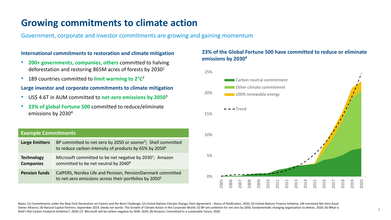#### **Growing commitments to climate action**

Government, corporate and investor commitments are growing and gaining momentum

#### **International commitments to restoration and climate mitigation**

- **200+ governments, companies, others** committed to halving deforestation and restoring 865M acres of forests by 2030<sup>1</sup>
- 189 countries committed to **limit warming to 2°C** 2

#### **Large investor and corporate commitments to climate mitigation**

- US\$ 4.6T in AUM committed to **net-zero emissions by 2050**<sup>3</sup>
- **23% of global Fortune 500** committed to reduce/eliminate emissions by 2030<sup>4</sup>

#### **Example Commitments**

| <b>Large Emitters</b>                 | BP committed to net-zero by 2050 or sooner <sup>5</sup> ; Shell committed<br>to reduce carbon-intensity of products by 65% by 2050 <sup>6</sup> |    |
|---------------------------------------|-------------------------------------------------------------------------------------------------------------------------------------------------|----|
| <b>Technology</b><br><b>Companies</b> | Microsoft committed to be net negative by 2030 <sup>7</sup> ; Amazon<br>committed to be net neutral by 2040 <sup>8</sup>                        | 5% |
| <b>Pension funds</b>                  | CalPERS, Nordea Life and Pension, PensionDanmark committed<br>to net-zero emissions across their portfolios by 2050 <sup>3</sup>                | 0% |

#### **23% of the Global Fortune 500 have committed to reduce or eliminate emissions by 2030<sup>4</sup>**



Notes: (1) Commitments under the New York Declaration on Forests and the Bonn Challenge; (2) United Nations Climate Change, Paris Agreement - Status of Ratification, 2020; (3) United Nations Finance Initiative, UN-convened Owner Alliance; (4) Natural Capital Partners. September 2019. Deeds not words: The Growth of Climate Action in the Corporate World; (5) BP sets ambition for net zero by 2050, fundamentally changing organization to deliver, Shell's Net Carbon Footprint Ambition?, 2020; (7) Microsoft will be carbon negative by 2030, 2020; (8) Amazon, Committed to a sustainable future, 2020.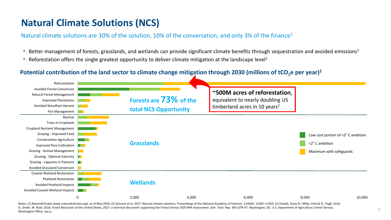### **Natural Climate Solutions (NCS)**

Natural climate solutions are 30% of the solution, 10% of the conversation, and only 3% of the finance<sup>1</sup>

- Better management of forests, grasslands, and wetlands can provide significant climate benefits through sequestration and avoided emissions<sup>1</sup>
- Reforestation offers the single greatest opportunity to deliver climate mitigation at the landscape level<sup>1</sup>

#### Potential contribution of the land sector to climate change mitigation through 2030 (millions of tCO<sub>2</sub><sup>e</sup> per year)<sup>2</sup>



Notes: (1) Nature4Clmate (www.nature4climate.org), as of May 2020; (2) Griscom et al. 2017. Natural climate solutions. Proceedings of the National Academy of Sciences. 114(44): 11645-11650. (2) Oswalt, Sonja N.; Miles, Pat A.; Smith, W. Brad. 2018. Forest Resources of the United States, 2017: a technical document supporting the Forest Service 2020 RPA Assessment. Gen. Tech. Rep. WO-GTR-97. Washington, DC: U.S. Department of Agriculture, Fore Washington Office. xxx p.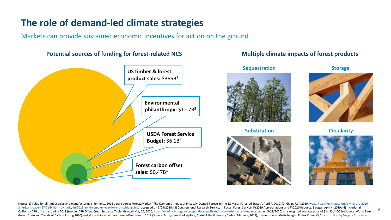### **The role of demand-led climate strategies**

Markets can provide sustained economic incentives for action on the ground

#### **Potential sources of funding for forest-related NCS**



# **Sequestration Storage Multiple climate impacts of forest products**

**Construction Industry**<br> **Construction** 

**Substitution**



**Circularity**



6

Notes: (1) Value for all timber sales and manufacturing shipments, 2016 data, source: Forest2Market "The Economic Impact of Privately-Owned Forests in the 32 Major Forested States", April 4, 2019; (2) Giving USA 2019, www. americans-gave-427-71-billion-to-charity-in-2018-amid-complex-year-for-charitable-giving/, accessed on 5/29/2020; (3) Congressional Research Service, In Focus, Forest Service: FY2019 Appropriations and FY2020 Request. 2 pa California ARB offsets issued in 2019 (source: ARB Offset Credit Issuance Table, through May 26, 2020, https://ww3.arb.ca.gov/cc/capandtrade/offsets/issuance/issuance/issuance.htm, accessed on 5/29/2020) at a weighted aver Group, State and Trends of Carbon Pricing 2020) and global total voluntary forest offset sales in 2018 (Source: Ecosystem Marketplace, State of the Voluntary Carbon Markets, 2019); Image sources: Getty Images, Pollux Chung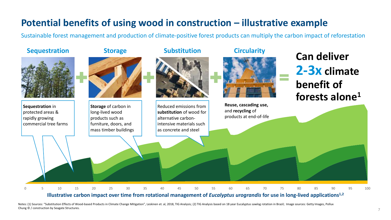### **Potential benefits of using wood in construction – illustrative example**

Sustainable forest management and production of climate-positive forest products can multiply the carbon impact of reforestation



#### **Illustrative carbon impact over time from rotational management of** *Eucalyptus urograndis* **for use in long-lived applications1,2**

Notes: (1) Sources: "Substitution Effects of Wood-based Products in Climate Change Mitigation", Leskinen et. al, 2018, TIG Analysis; (2) TIG Analysis based on 18 year Eucalyptus sawlog rotation in Brazil; Image sources: Ge Chung © / construction by Seagate Structures.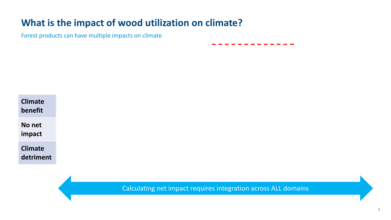### **What is the impact of wood utilization on climate?**

Forest products can have multiple impacts on climate

| <b>Climate</b><br>benefit   |
|-----------------------------|
| No net<br>impact            |
| <b>Climate</b><br>detriment |

Calculating net impact requires integration across ALL domains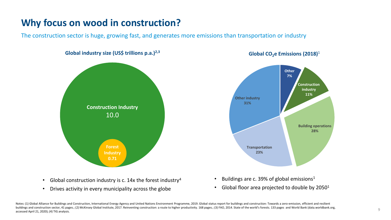### **Why focus on wood in construction?**

The construction sector is huge, growing fast, and generates more emissions than transportation or industry



- Global construction industry is c.  $14x$  the forest industry<sup>4</sup>
- Drives activity in every municipality across the globe



**Global CO2e Emissions (2018)**<sup>1</sup>

- Buildings are c. 39% of global emissions<sup>1</sup>
- Global floor area projected to double by  $2050<sup>1</sup>$

Notes: (1) Global Alliance for Buildings and Construction, International Energy Agency and United Nations Environment Programme, 2019. Global status report for buildings and construction: Towards a zero-emission, efficient buildings and construction sector, 41 pages.; (2) McKinsey Global Institute, 2017. Reinventing construction: a route to higher productivity. 168 pages.; (3) FAO, 2014. State of the world's forests. 133 pages and World Bank accessed April 21, 2020); (4) TIG analysis.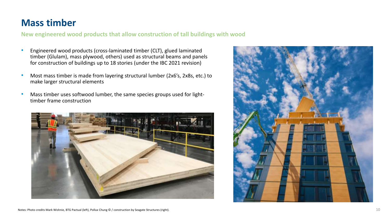#### **Mass timber**

**New engineered wood products that allow construction of tall buildings with wood**

- Engineered wood products (cross-laminated timber (CLT), glued laminated timber (Glulam), mass plywood, others) used as structural beams and panels for construction of buildings up to 18 stories (under the IBC 2021 revision)
- Most mass timber is made from layering structural lumber (2x6's, 2x8s, etc.) to make larger structural elements
- Mass timber uses softwood lumber, the same species groups used for lighttimber frame construction



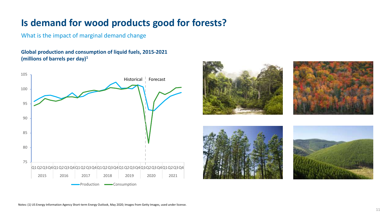### **Is demand for wood products good for forests?**

What is the impact of marginal demand change

**Global production and consumption of liquid fuels, 2015-2021 (millions of barrels per day)1**



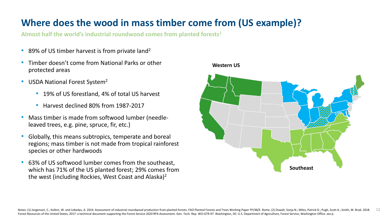### **Where does the wood in mass timber come from (US example)?**

**Almost half the world's industrial roundwood comes from planted forests<sup>1</sup>**

- 89% of US timber harvest is from private land<sup>2</sup>
- Timber doesn't come from National Parks or other protected areas
- USDA National Forest System<sup>2</sup>
	- 19% of US forestland, 4% of total US harvest
	- Harvest declined 80% from 1987-2017
- Mass timber is made from softwood lumber (needleleaved trees, e.g. pine, spruce, fir, etc.)
- Globally, this means subtropics, temperate and boreal regions; mass timber is not made from tropical rainforest species or other hardwoods
- 63% of US softwood lumber comes from the southeast, which has 71% of the US planted forest; 29% comes from the west (including Rockies, West Coast and Alaska)<sup>2</sup>

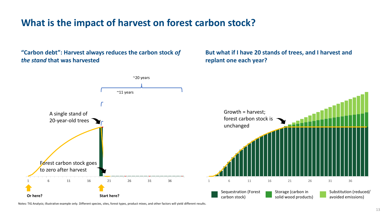### **What is the impact of harvest on forest carbon stock?**

**"Carbon debt": Harvest always reduces the carbon stock** *of the stand* **that was harvested**

**But what if I have 20 stands of trees, and I harvest and replant one each year?** 



Notes: TIG Analysis; illustrative example only. Different species, sites, forest types, product mixes, and other factors will yield different results.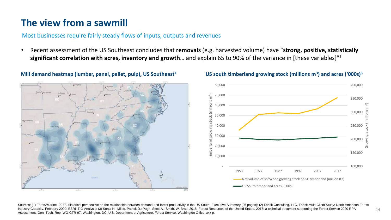### **The view from a sawmill**

#### Most businesses require fairly steady flows of inputs, outputs and revenues

• Recent assessment of the US Southeast concludes that **removals** (e.g. harvested volume) have "**strong, positive, statistically significant correlation with acres, inventory and growth**… and explain 65 to 90% of the variance in [these variables]"<sup>1</sup>



#### **) and acres ('000s) Mill demand heatmap (lumber, panel, pellet, pulp), US Southeast<sup>2</sup> <sup>3</sup>**

#### **US south timberland growing stock (millions m<sup>3</sup>**



Sources; (1) Fores2Market, 2017. Historical perspective on the relationship between demand and forest productivity in the US South; Executive Summary (26 pages); (2) Forisk Consulting, LLC, Forisk Multi-Client Study: North Industry Capacity, February 2020; ESRI, TIG Analysis; (3) Sonja N.; Miles, Patrick D.; Pugh, Scott A.; Smith, W. Brad. 2018. Forest Resources of the United States, 2017: a technical document supporting the Forest Service 2 Assessment. Gen. Tech. Rep. WO-GTR-97. Washington, DC: U.S. Department of Agriculture, Forest Service, Washington Office. xxx p.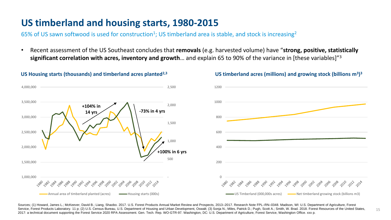### **US timberland and housing starts, 1980-2015**

65% of US sawn softwood is used for construction<sup>1</sup>; US timberland area is stable, and stock is increasing<sup>2</sup>

• Recent assessment of the US Southeast concludes that **removals** (e.g. harvested volume) have "**strong, positive, statistically significant correlation with acres, inventory and growth**… and explain 65 to 90% of the variance in [these variables]"3



#### **US timberland acres (millions) and growing stock (billions m<sup>3</sup> ) US Housing starts (thousands) and timberland acres planted2,3 <sup>3</sup>**



15

Sources; (1) Howard, James L.; McKeever, David B.; Liang, Shaobo. 2017. U.S. Forest Products Annual Market Review and Prospects, 2013-2017. Research Note FPL-RN-0348. Madison, WI: U.S. Department of Agriculture, Forest Service, Forest Products Laboratory. 11 p; (2) U.S. Census Bureau, U.S. Department of Housing and Urban Development, Oswalt; (3) Sonja N.; Miles, Patrick D.; Pugh, Scott A.; Smith, W. Brad. 2018. Forest Resources of the Un 2017: a technical document supporting the Forest Service 2020 RPA Assessment. Gen. Tech. Rep. WO-GTR-97. Washington, DC: U.S. Department of Agriculture, Forest Service, Washington Office. xxx p.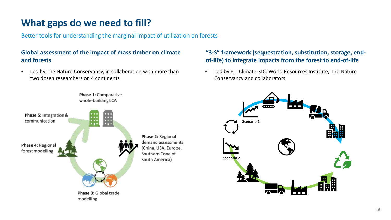## **What gaps do we need to fill?**

Better tools for understanding the marginal impact of utilization on forests

#### **Global assessment of the impact of mass timber on climate and forests**

• Led by The Nature Conservancy, in collaboration with more than two dozen researchers on 4 continents

Phase 1: Comparative



#### **"3-S" framework (sequestration, substitution, storage, endof-life) to integrate impacts from the forest to end-of-life**

• Led by EIT Climate-KIC, World Resources Institute, The Nature Conservancy and collaborators

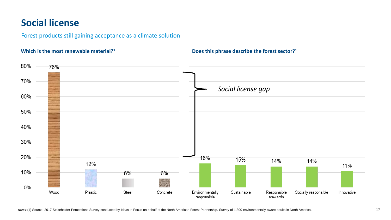### **Social license**

Forest products still gaining acceptance as a climate solution

80% 76% 70% *Social license gap*60% 50% 40% 30% 20% 16% 15% 14% 14% 12% 11% 10% 6% 6%  $\sim$ 0% Wood Plastic Steel Environmentally Sustainable Responsible Socially responsible Concrete Innovative responsible stewards

**Does this phrase describe the forest sector? Which is the most renewable material?<sup>1</sup> <sup>1</sup>**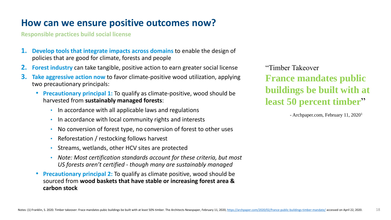### **How can we ensure positive outcomes now?**

**Responsible practices build social license**

- **1. Develop tools that integrate impacts across domains** to enable the design of policies that are good for climate, forests and people
- **2. Forest industry** can take tangible, positive action to earn greater social license
- **3. Take aggressive action now** to favor climate-positive wood utilization, applying two precautionary principals:
	- **Precautionary principal 1:** To qualify as climate-positive, wood should be harvested from **sustainably managed forests**:
		- In accordance with all applicable laws and regulations
		- In accordance with local community rights and interests
		- No conversion of forest type, no conversion of forest to other uses
		- Reforestation / restocking follows harvest
		- Streams, wetlands, other HCV sites are protected
		- *Note: Most certification standards account for these criteria, but most US forests aren't certified - though many are sustainably managed*
	- **Precautionary principal 2:** To qualify as climate positive, wood should be sourced from **wood baskets that have stable or increasing forest area & carbon stock**

"Timber Takeover **France mandates public buildings be built with at least 50 percent timber**"

- Archpaper.com, February 11, 2020<sup>1</sup>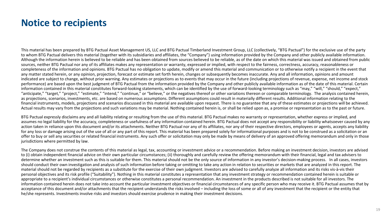#### **Notice to recipients**

This material has been prepared by BTG Pactual Asset Management US, LLC and BTG Pactual Timberland Investment Group, LLC (collectively, "BTG Pactual") for the exclusive use of the party to whom BTG Pactual delivers this material (together with its subsidiaries and affiliates, the "Company") using information provided by the Company and other publicly available information. Although the information herein is believed to be reliable and has been obtained from sources believed to be reliable, as of the date on which this material was issued and obtained from public sources, neither BTG Pactual nor any of its affiliates makes any representation or warranty, expressed or implied, with respect to the fairness, correctness, accuracy, reasonableness or completeness of the information and opinions. BTG Pactual has no obligation to update, modify or amend this material and communication or to otherwise notify a recipient in the event that any matter stated herein, or any opinion, projection, forecast or estimate set forth herein, changes or subsequently becomes inaccurate. Any and all information, opinions and amount indicated are subject to change, without prior warning. Any estimates or projections as to events that may occur in the future (including projections of revenue, expense, net income and stock performance) are based upon the best judgment of BTG Pactual from the information provided by the Company and other publicly available information as of the date of this material. Certain information contained in this material constitutes forward-looking statements, which can be identified by the use of forward-looking terminology such as "may," "will," "should," "expect," "anticipate," "target," "project," "estimate," "intend," "continue," or "believe," or the negatives thereof or other variations thereon or comparable terminology. The analysis contained herein, as projections, scenarios, investments, etc. are based on numerous assumptions. Different assumptions could result in materially different results. Additional information relating to the financial instruments, models, projections and scenarios discussed in this material are available upon request. There is no guarantee that any of these estimates or projections will be achieved. Actual results may vary from the projections and such variations may be material. Nothing contained herein is, or shall be relied upon as, a promise or representation as to the past or future.

BTG Pactual expressly disclaims any and all liability relating or resulting from the use of this material. BTG Pactual makes no warranty or representation, whether express or implied, and assumes no legal liability for the accuracy, completeness or usefulness of any information contained herein. BTG Pactual does not accept any responsibility or liability whatsoever caused by any action taken in reliance upon this document and/or its attachments. Neither BTG Pactual nor any of its affiliates, nor any of their respective directors, employees or agents, accepts any liability for any loss or damage arising out of the use of all or any part of this report. This material has been prepared solely for informational purposes and is not to be construed as a solicitation or an offer to buy or sell any securities or related financial instruments. Any such offer or solicitation may only be made by means of delivery of an approved offering memorandum and only in those jurisdictions where permitted by law.

The Company does not construe the contents of this material as legal, tax, accounting or investment advice or a recommendation. Before making an investment decision, investors are advised to (i) obtain independent financial advice on their own particular circumstances; (ii) thoroughly and carefully review the offering memorandum with their financial, legal and tax advisers to determine whether an investment such as this is suitable for them. This material should not be the only source of information in any investor's decision-making process. In all cases, investors should conduct their own investigation and analysis of such information before taking or omitting to take any action in relation to securities or markets that are analyzed in this report. The material should not be regarded by recipients as a substitute for the exercise of their own judgment. Investors are advised to carefully analyze all information and its risks vis-à-vis their personal objectives and its risk profile ("Suitability"). Nothing in this material constitutes a representation that any investment strategy or recommendation contained herein is suitable or appropriate to a recipient's individual circumstances or otherwise constitutes a personal recommendation. An investment in the products described is not suitable for all investors. The information contained herein does not take into account the particular investment objectives or financial circumstances of any specific person who may receive it. BTG Pactual assumes that by acceptance of this document and/or attachments that the recipient understands the risks involved – including the loss of some or all of any investment that the recipient or the entity that he/she represents. Investments involve risks and investors should exercise prudence in making their investment decisions.